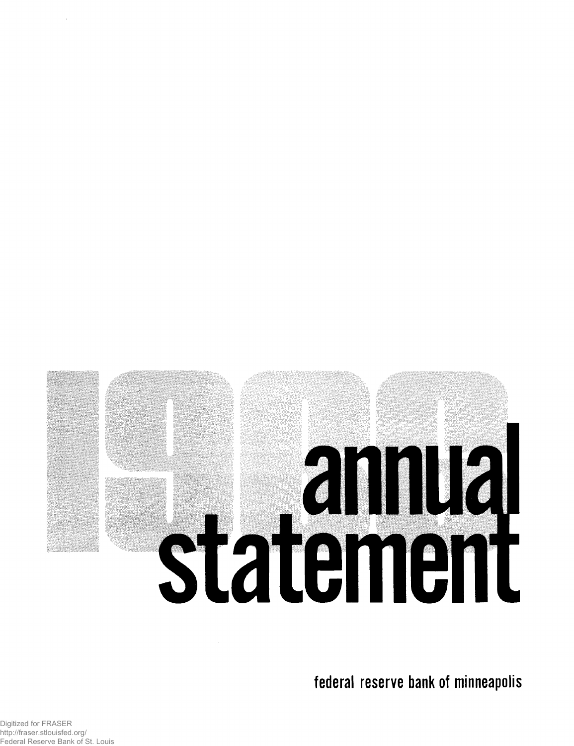# **annual**<br>Statement

federal reserve bank of minneapolis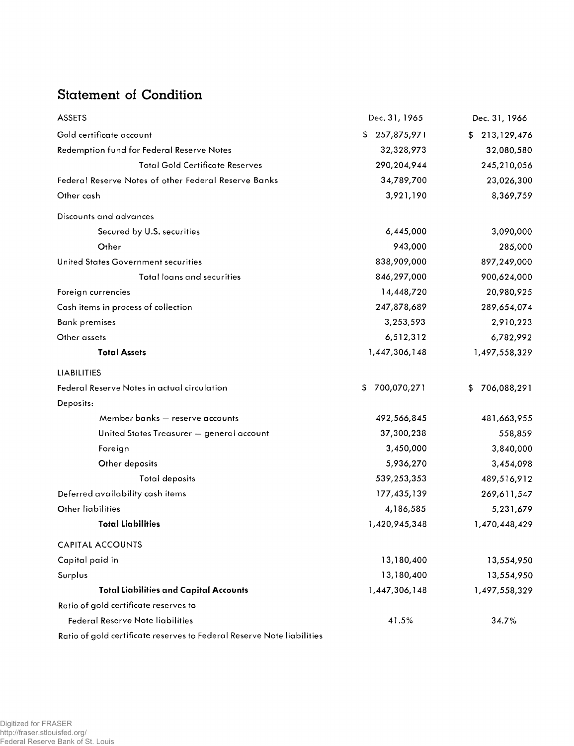# Statement of Condition

| <b>ASSETS</b>                                        | Dec. 31, 1965      | Dec. 31, 1966     |
|------------------------------------------------------|--------------------|-------------------|
| Gold certificate account                             | 257,875,971<br>\$  | 213,129,476<br>\$ |
| Redemption fund for Federal Reserve Notes            | 32,328,973         | 32,080,580        |
| <b>Total Gold Certificate Reserves</b>               | 290,204,944        | 245,210,056       |
| Federal Reserve Notes of other Federal Reserve Banks | 34,789,700         | 23,026,300        |
| Other cash                                           | 3,921,190          | 8,369,759         |
| Discounts and advances                               |                    |                   |
| Secured by U.S. securities                           | 6,445,000          | 3,090,000         |
| Other                                                | 943,000            | 285,000           |
| United States Government securities                  | 838,909,000        | 897,249,000       |
| Total loans and securities                           | 846,297,000        | 900,624,000       |
| Foreign currencies                                   | 14,448,720         | 20,980,925        |
| Cash items in process of collection                  | 247,878,689        | 289,654,074       |
| <b>Bank premises</b>                                 | 3,253,593          | 2,910,223         |
| Other assets                                         | 6,512,312          | 6,782,992         |
| <b>Total Assets</b>                                  | 1,447,306,148      | 1,497,558,329     |
| LIABILITIES                                          |                    |                   |
| Federal Reserve Notes in actual circulation          | 700,070,271<br>\$. | 706,088,291<br>\$ |
| Deposits:                                            |                    |                   |
| Member banks - reserve accounts                      | 492,566,845        | 481,663,955       |
| United States Treasurer - general account            | 37,300,238         | 558,859           |
| Foreign                                              | 3,450,000          | 3,840,000         |
| Other deposits                                       | 5,936,270          | 3,454,098         |
| Total deposits                                       | 539,253,353        | 489,516,912       |
| Deferred availability cash items                     | 177,435,139        | 269,611,547       |
| Other liabilities                                    | 4,186,585          | 5,231,679         |
| <b>Total Liabilities</b>                             | 1,420,945,348      | 1,470,448,429     |
| <b>CAPITAL ACCOUNTS</b>                              |                    |                   |
| Capital paid in                                      | 13,180,400         | 13,554,950        |
| Surplus                                              | 13,180,400         | 13,554,950        |
| <b>Total Liabilities and Capital Accounts</b>        | 1,447,306,148      | 1,497,558,329     |
| Ratio of gold certificate reserves to                |                    |                   |
| Federal Reserve Note liabilities                     | 41.5%              | 34.7%             |
|                                                      |                    |                   |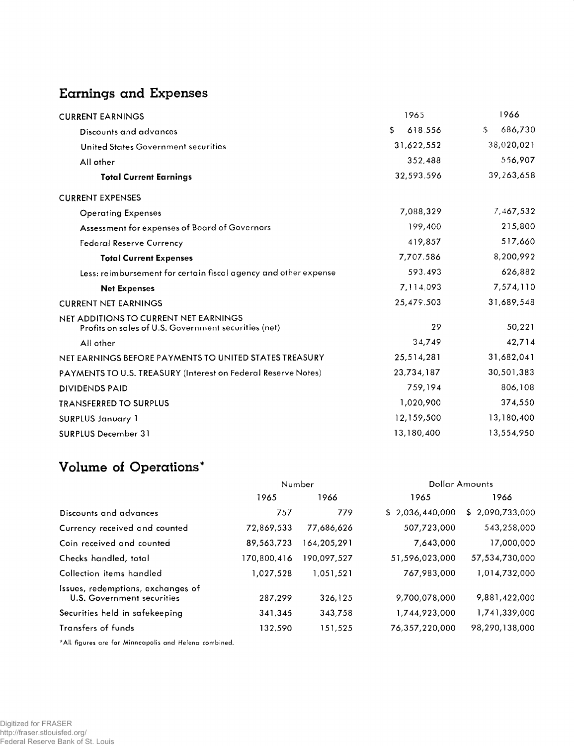### Earnings and Expenses

| <b>CURRENT EARNINGS</b>                                                                       | 1965          | 1966          |
|-----------------------------------------------------------------------------------------------|---------------|---------------|
| Discounts and advances                                                                        | \$<br>618.556 | 686,730<br>\$ |
| United States Government securities                                                           | 31,622,552    | 38,020,021    |
| All other                                                                                     | 352,488       | 556,907       |
| <b>Total Current Earnings</b>                                                                 | 32,593,596    | 39,263,658    |
| <b>CURRENT EXPENSES</b>                                                                       |               |               |
| <b>Operating Expenses</b>                                                                     | 7,088,329     | 7,467,532     |
| Assessment for expenses of Board of Governors                                                 | 199,400       | 215,800       |
| <b>Federal Reserve Currency</b>                                                               | 419,857       | 517,660       |
| <b>Total Current Expenses</b>                                                                 | 7,707.586     | 8,200,992     |
| Less: reimbursement for certain fiscal agency and other expense                               | 593.493       | 626,882       |
| <b>Net Expenses</b>                                                                           | 7,114,093     | 7,574,110     |
| <b>CURRENT NET EARNINGS</b>                                                                   | 25,479.503    | 31,689,548    |
| NET ADDITIONS TO CURRENT NET EARNINGS<br>Profits on sales of U.S. Government securities (net) | 29            | $-50,221$     |
| All other                                                                                     | 34,749        | 42,714        |
| NET EARNINGS BEFORE PAYMENTS TO UNITED STATES TREASURY                                        | 25,514,281    | 31,682,041    |
| PAYMENTS TO U.S. TREASURY (Interest on Federal Reserve Notes)                                 | 23,734,187    | 30,501,383    |
| <b>DIVIDENDS PAID</b>                                                                         | 759,194       | 806,108       |
| <b>TRANSFERRED TO SURPLUS</b>                                                                 | 1,020,900     | 374,550       |
| <b>SURPLUS January 1</b>                                                                      | 12,159,500    | 13,180,400    |
| <b>SURPLUS December 31</b>                                                                    | 13,180,400    | 13,554,950    |

# Volume of Operations\*

|                                                                 | Number      |             | <b>Dollar Amounts</b> |                 |
|-----------------------------------------------------------------|-------------|-------------|-----------------------|-----------------|
|                                                                 | 1965        | 1966        | 1965                  | 1966            |
| Discounts and advances                                          | 757         | 779         | \$2,036,440,000       | \$2,090,733,000 |
| Currency received and counted                                   | 72,869,533  | 77,686,626  | 507,723,000           | 543,258,000     |
| Coin received and counted                                       | 89,563,723  | 164,205,291 | 7,643,000             | 17,000,000      |
| Checks handled, total                                           | 170,800,416 | 190,097,527 | 51,596,023,000        | 57,534,730,000  |
| Collection items handled                                        | 1,027,528   | 1,051,521   | 767,983,000           | 1,014,732,000   |
| Issues, redemptions, exchanges of<br>U.S. Government securities | 287,299     | 326.125     | 9,700,078,000         | 9,881,422,000   |
| Securities held in safekeeping                                  | 341,345     | 343,758     | 1,744,923,000         | 1,741,339,000   |
| Transfers of funds                                              | 132,590     | 151,525     | 76,357,220,000        | 98,290,138,000  |

**\* A ll figures are for M in n eap o lis an d H elena com bined.**